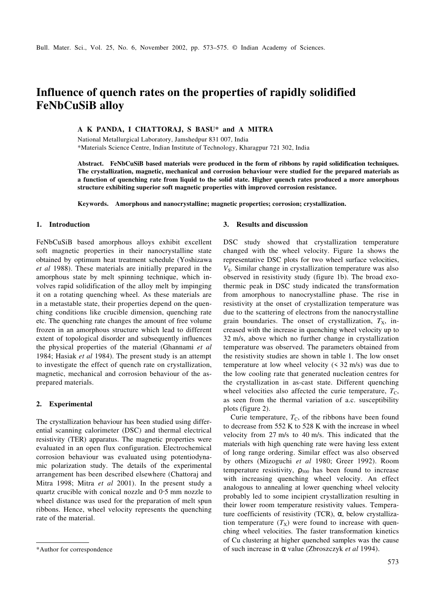# **Influence of quench rates on the properties of rapidly solidified FeNbCuSiB alloy**

**A K PANDA, I CHATTORAJ, S BASU\* and A MITRA**

National Metallurgical Laboratory, Jamshedpur 831 007, India \*Materials Science Centre, Indian Institute of Technology, Kharagpur 721 302, India

**Abstract. FeNbCuSiB based materials were produced in the form of ribbons by rapid solidification techniques. The crystallization, magnetic, mechanical and corrosion behaviour were studied for the prepared materials as a function of quenching rate from liquid to the solid state. Higher quench rates produced a more amorphous structure exhibiting superior soft magnetic properties with improved corrosion resistance.**

**Keywords. Amorphous and nanocrystalline; magnetic properties; corrosion; crystallization.**

#### **1. Introduction**

FeNbCuSiB based amorphous alloys exhibit excellent soft magnetic properties in their nanocrystalline state obtained by optimum heat treatment schedule (Yoshizawa *et al* 1988). These materials are initially prepared in the amorphous state by melt spinning technique, which involves rapid solidification of the alloy melt by impinging it on a rotating quenching wheel. As these materials are in a metastable state, their properties depend on the quenching conditions like crucible dimension, quenching rate etc. The quenching rate changes the amount of free volume frozen in an amorphous structure which lead to different extent of topological disorder and subsequently influences the physical properties of the material (Ghannami *et al* 1984; Hasiak *et al* 1984). The present study is an attempt to investigate the effect of quench rate on crystallization, magnetic, mechanical and corrosion behaviour of the asprepared materials.

## **2. Experimental**

The crystallization behaviour has been studied using differential scanning calorimeter (DSC) and thermal electrical resistivity (TER) apparatus. The magnetic properties were evaluated in an open flux configuration. Electrochemical corrosion behaviour was evaluated using potentiodynamic polarization study. The details of the experimental arrangement has been described elsewhere (Chattoraj and Mitra 1998; Mitra *et al* 2001). In the present study a quartz crucible with conical nozzle and 0⋅5 mm nozzle to wheel distance was used for the preparation of melt spun ribbons. Hence, wheel velocity represents the quenching rate of the material.

## **3. Results and discussion**

DSC study showed that crystallization temperature changed with the wheel velocity. Figure 1a shows the representative DSC plots for two wheel surface velocities, *V<sub>s</sub>*. Similar change in crystallization temperature was also observed in resistivity study (figure 1b). The broad exothermic peak in DSC study indicated the transformation from amorphous to nanocrystalline phase. The rise in resistivity at the onset of crystallization temperature was due to the scattering of electrons from the nanocrystalline grain boundaries. The onset of crystallization,  $T_X$ , increased with the increase in quenching wheel velocity up to 32 m/s, above which no further change in crystallization temperature was observed. The parameters obtained from the resistivity studies are shown in table 1. The low onset temperature at low wheel velocity (< 32 m/s) was due to the low cooling rate that generated nucleation centres for the crystallization in as-cast state. Different quenching wheel velocities also affected the curie temperature,  $T<sub>C</sub>$ , as seen from the thermal variation of a.c. susceptibility plots (figure 2).

Curie temperature,  $T_c$ , of the ribbons have been found to decrease from 552 K to 528 K with the increase in wheel velocity from 27 m/s to 40 m/s. This indicated that the materials with high quenching rate were having less extent of long range ordering. Similar effect was also observed by others (Mizoguchi *et al* 1980; Greer 1992). Room temperature resistivity,  $\rho_{300}$  has been found to increase with increasing quenching wheel velocity. An effect analogous to annealing at lower quenching wheel velocity probably led to some incipient crystallization resulting in their lower room temperature resistivity values. Temperature coefficients of resistivity (TCR), α, below crystallization temperature  $(T_X)$  were found to increase with quenching wheel velocities. The faster transformation kinetics of Cu clustering at higher quenched samples was the cause \*Author for correspondence of such increase in α value (Zbroszczyk *et al* 1994).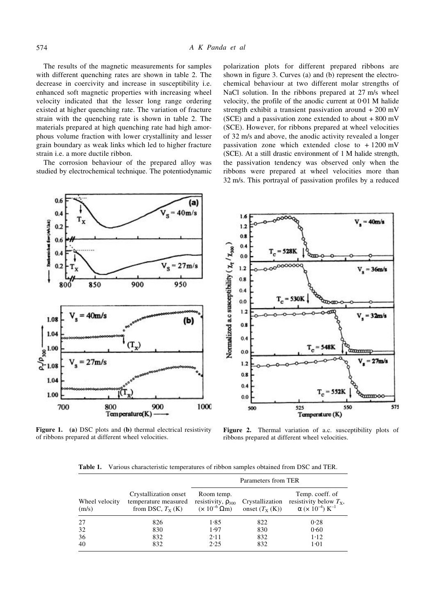The results of the magnetic measurements for samples with different quenching rates are shown in table 2. The decrease in coercivity and increase in susceptibility i.e. enhanced soft magnetic properties with increasing wheel velocity indicated that the lesser long range ordering existed at higher quenching rate. The variation of fracture strain with the quenching rate is shown in table 2. The materials prepared at high quenching rate had high amorphous volume fraction with lower crystallinity and lesser grain boundary as weak links which led to higher fracture strain i.e. a more ductile ribbon.

The corrosion behaviour of the prepared alloy was studied by electrochemical technique. The potentiodynamic polarization plots for different prepared ribbons are shown in figure 3. Curves (a) and (b) represent the electrochemical behaviour at two different molar strengths of NaCl solution. In the ribbons prepared at 27 m/s wheel velocity, the profile of the anodic current at 0⋅01 M halide strength exhibit a transient passivation around + 200 mV (SCE) and a passivation zone extended to about  $+800$  mV (SCE). However, for ribbons prepared at wheel velocities of 32 m/s and above, the anodic activity revealed a longer passivation zone which extended close to + 1200 mV (SCE). At a still drastic environment of 1 M halide strength, the passivation tendency was observed only when the ribbons were prepared at wheel velocities more than 32 m/s. This portrayal of passivation profiles by a reduced



**Figure 1. (a)** DSC plots and **(b)** thermal electrical resistivity of ribbons prepared at different wheel velocities.

**Figure 2.** Thermal variation of a.c. susceptibility plots of ribbons prepared at different wheel velocities.

Various characteristic temperatures of ribbon samples obtained from DSC and TER. Table 1.

|                         |                                                                      | Parameters from TER                                                    |                                     |                                                                                                          |  |
|-------------------------|----------------------------------------------------------------------|------------------------------------------------------------------------|-------------------------------------|----------------------------------------------------------------------------------------------------------|--|
| Wheel velocity<br>(m/s) | Crystallization onset<br>temperature measured<br>from DSC, $T_X$ (K) | Room temp.<br>resistivity, $\rho_{300}$<br>$(\times 10^{-6} \Omega m)$ | Crystallization<br>onset $(T_X(K))$ | Temp. coeff. of<br>resistivity below $T_{x}$ ,<br>$\alpha$ ( $\times$ 10 <sup>-4</sup> ) K <sup>-1</sup> |  |
| 27                      | 826                                                                  | 1.85                                                                   | 822                                 | 0.28                                                                                                     |  |
| 32                      | 830                                                                  | 1.97                                                                   | 830                                 | 0.60                                                                                                     |  |
| 36                      | 832                                                                  | 2.11                                                                   | 832                                 | 1.12                                                                                                     |  |
| 40                      | 832                                                                  | 2.25                                                                   | 832                                 | 1.01                                                                                                     |  |